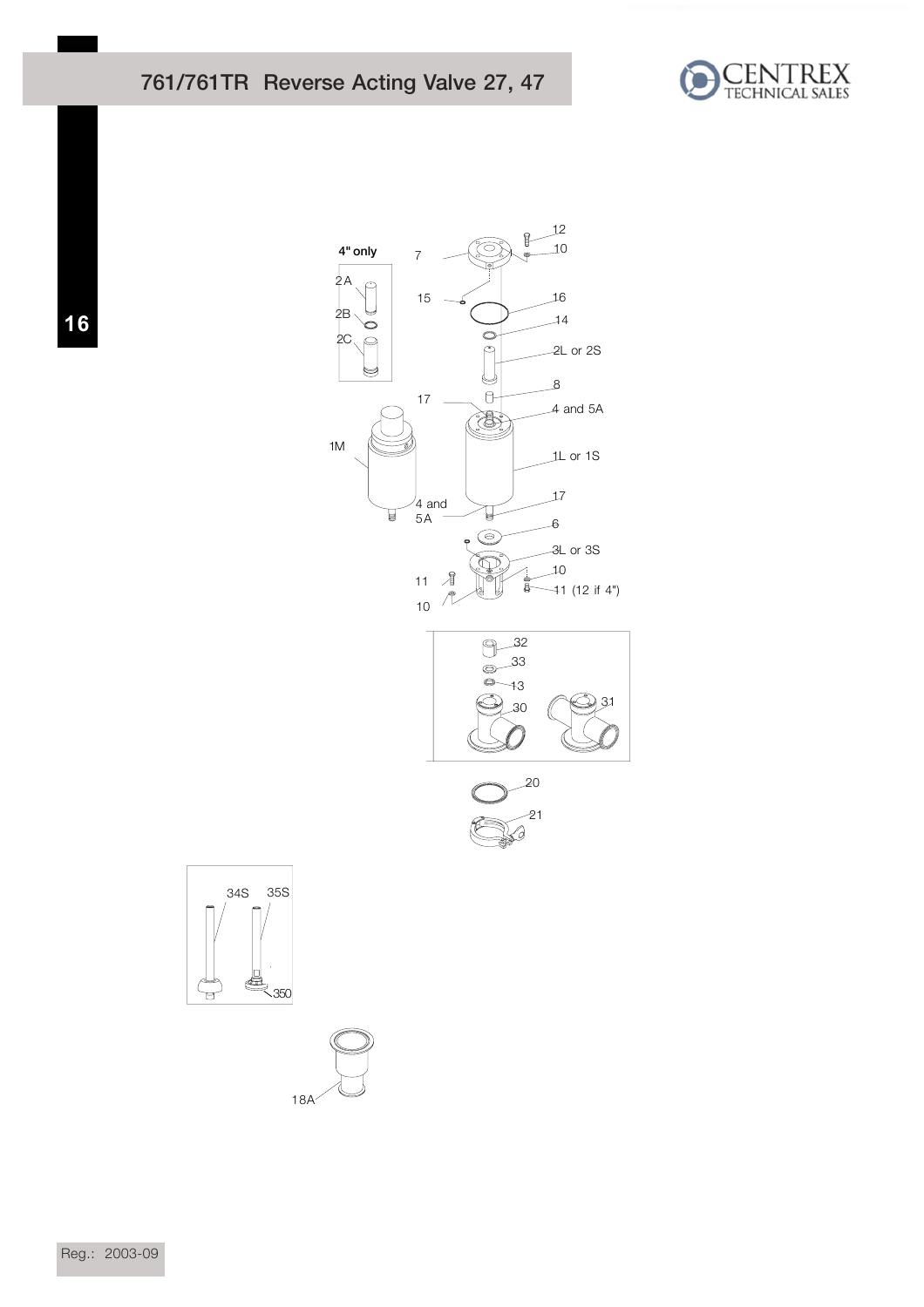